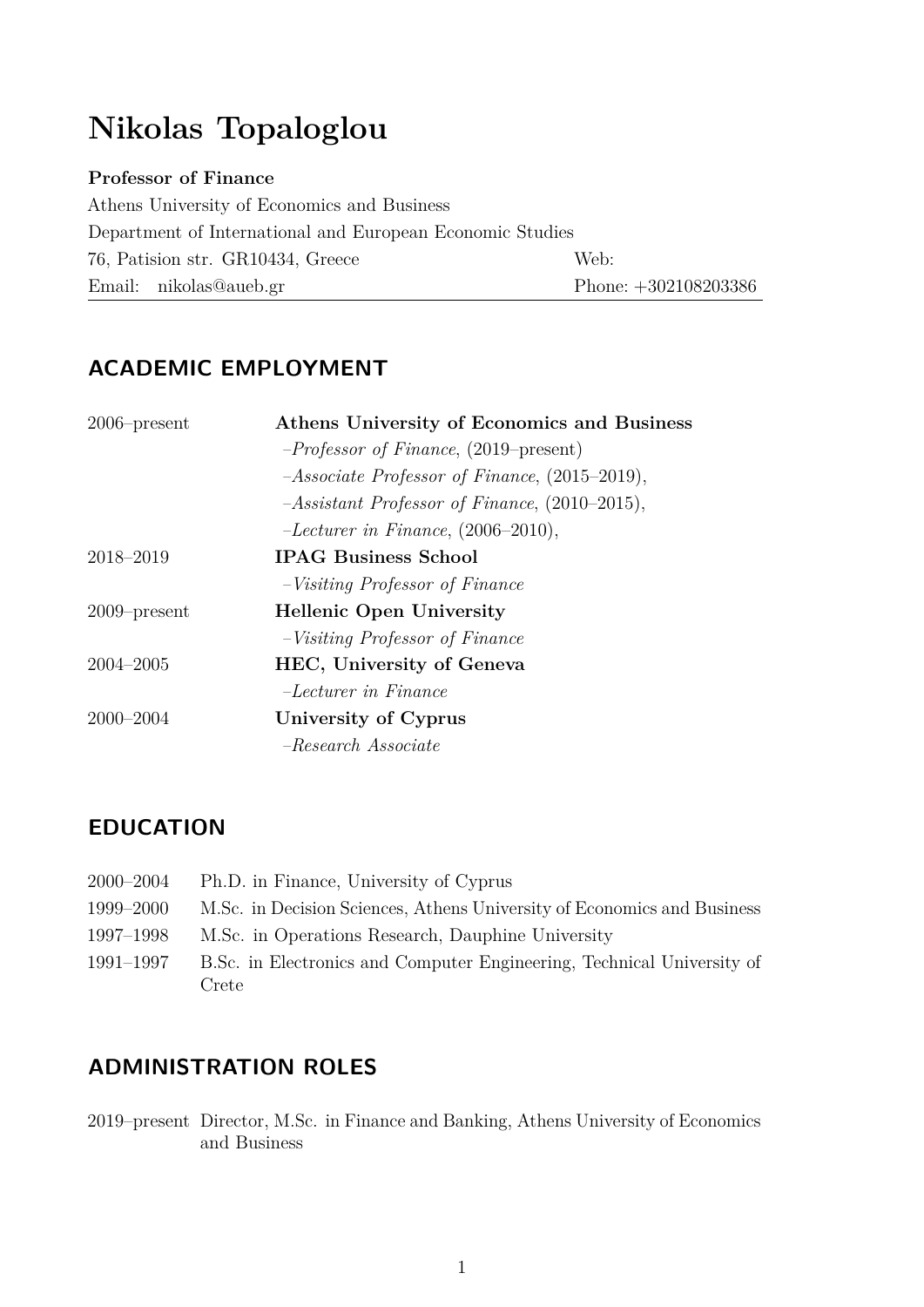# **Nikolas Topaloglou**

#### **Professor of Finance**

Athens University of Economics and Business Department of International and European Economic Studies 76, Patision str. GR10434, Greece Web: Email: nikolas@aueb.gr Phone: +302108203386

# **ACADEMIC EMPLOYMENT**

| $2006$ -present | Athens University of Economics and Business     |
|-----------------|-------------------------------------------------|
|                 | $-Professor$ of Finance, (2019–present)         |
|                 | $-Associate$ Professor of Finance, (2015–2019), |
|                 | $-Assistant$ Professor of Finance, (2010–2015), |
|                 | $-Lecturer\ in\ Finance, (2006-2010),$          |
| 2018-2019       | <b>IPAG Business School</b>                     |
|                 | $-Visiting\ Professor\ of\ Finance$             |
| $2009$ -present | <b>Hellenic Open University</b>                 |
|                 | $-Visiting\ Professor\ of\ Finance$             |
| $2004 - 2005$   | HEC, University of Geneva                       |
|                 | $-Lecturer$ in Finance                          |
| $2000 - 2004$   | University of Cyprus                            |
|                 | $-Research$ Associate                           |

# **EDUCATION**

| 2000–2004 | Ph.D. in Finance, University of Cyprus                                  |
|-----------|-------------------------------------------------------------------------|
| 1999–2000 | M.Sc. in Decision Sciences, Athens University of Economics and Business |
| 1997–1998 | M.Sc. in Operations Research, Dauphine University                       |
| 1991–1997 | B.Sc. in Electronics and Computer Engineering, Technical University of  |
|           | Crete                                                                   |

# **ADMINISTRATION ROLES**

2019–present Director, M.Sc. in Finance and Banking, Athens University of Economics and Business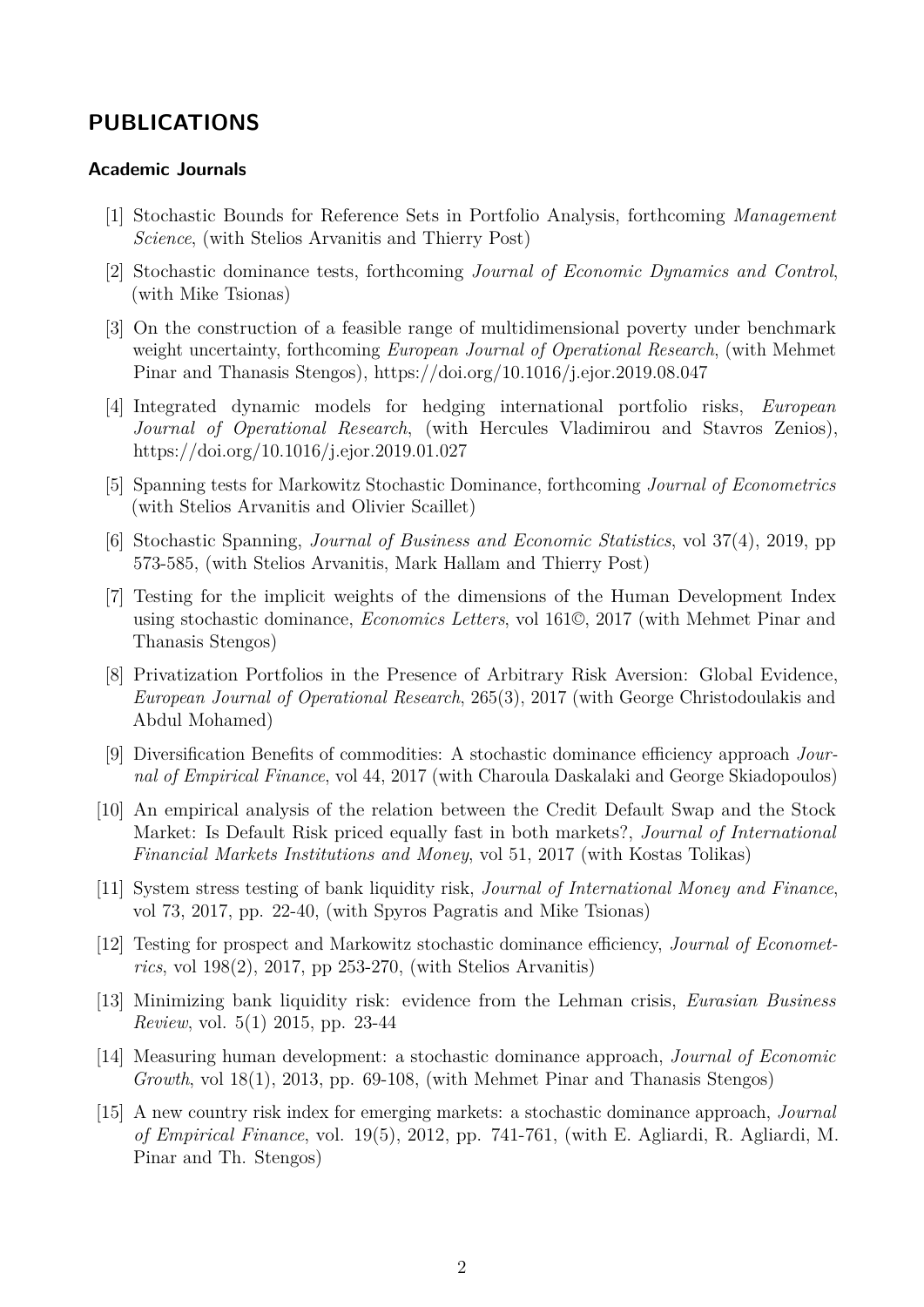### **PUBLICATIONS**

#### **Academic Journals**

- [1] Stochastic Bounds for Reference Sets in Portfolio Analysis, forthcoming *Management Science*, (with Stelios Arvanitis and Thierry Post)
- [2] Stochastic dominance tests, forthcoming *Journal of Economic Dynamics and Control*, (with Mike Tsionas)
- [3] On the construction of a feasible range of multidimensional poverty under benchmark weight uncertainty, forthcoming *European Journal of Operational Research*, (with Mehmet Pinar and Thanasis Stengos), https://doi.org/10.1016/j.ejor.2019.08.047
- [4] Integrated dynamic models for hedging international portfolio risks, *European Journal of Operational Research*, (with Hercules Vladimirou and Stavros Zenios), https://doi.org/10.1016/j.ejor.2019.01.027
- [5] Spanning tests for Markowitz Stochastic Dominance, forthcoming *Journal of Econometrics* (with Stelios Arvanitis and Olivier Scaillet)
- [6] Stochastic Spanning, *Journal of Business and Economic Statistics*, vol 37(4), 2019, pp 573-585, (with Stelios Arvanitis, Mark Hallam and Thierry Post)
- [7] Testing for the implicit weights of the dimensions of the Human Development Index using stochastic dominance, *Economics Letters*, vol 161©, 2017 (with Mehmet Pinar and Thanasis Stengos)
- [8] Privatization Portfolios in the Presence of Arbitrary Risk Aversion: Global Evidence, *European Journal of Operational Research*, 265(3), 2017 (with George Christodoulakis and Abdul Mohamed)
- [9] Diversification Benefits of commodities: A stochastic dominance efficiency approach *Journal of Empirical Finance*, vol 44, 2017 (with Charoula Daskalaki and George Skiadopoulos)
- [10] An empirical analysis of the relation between the Credit Default Swap and the Stock Market: Is Default Risk priced equally fast in both markets?, *Journal of International Financial Markets Institutions and Money*, vol 51, 2017 (with Kostas Tolikas)
- [11] System stress testing of bank liquidity risk, *Journal of International Money and Finance*, vol 73, 2017, pp. 22-40, (with Spyros Pagratis and Mike Tsionas)
- [12] Testing for prospect and Markowitz stochastic dominance efficiency, *Journal of Econometrics*, vol 198(2), 2017, pp 253-270, (with Stelios Arvanitis)
- [13] Minimizing bank liquidity risk: evidence from the Lehman crisis, *Eurasian Business Review*, vol. 5(1) 2015, pp. 23-44
- [14] Measuring human development: a stochastic dominance approach, *Journal of Economic Growth*, vol 18(1), 2013, pp. 69-108, (with Mehmet Pinar and Thanasis Stengos)
- [15] A new country risk index for emerging markets: a stochastic dominance approach, *Journal of Empirical Finance*, vol. 19(5), 2012, pp. 741-761, (with E. Agliardi, R. Agliardi, M. Pinar and Th. Stengos)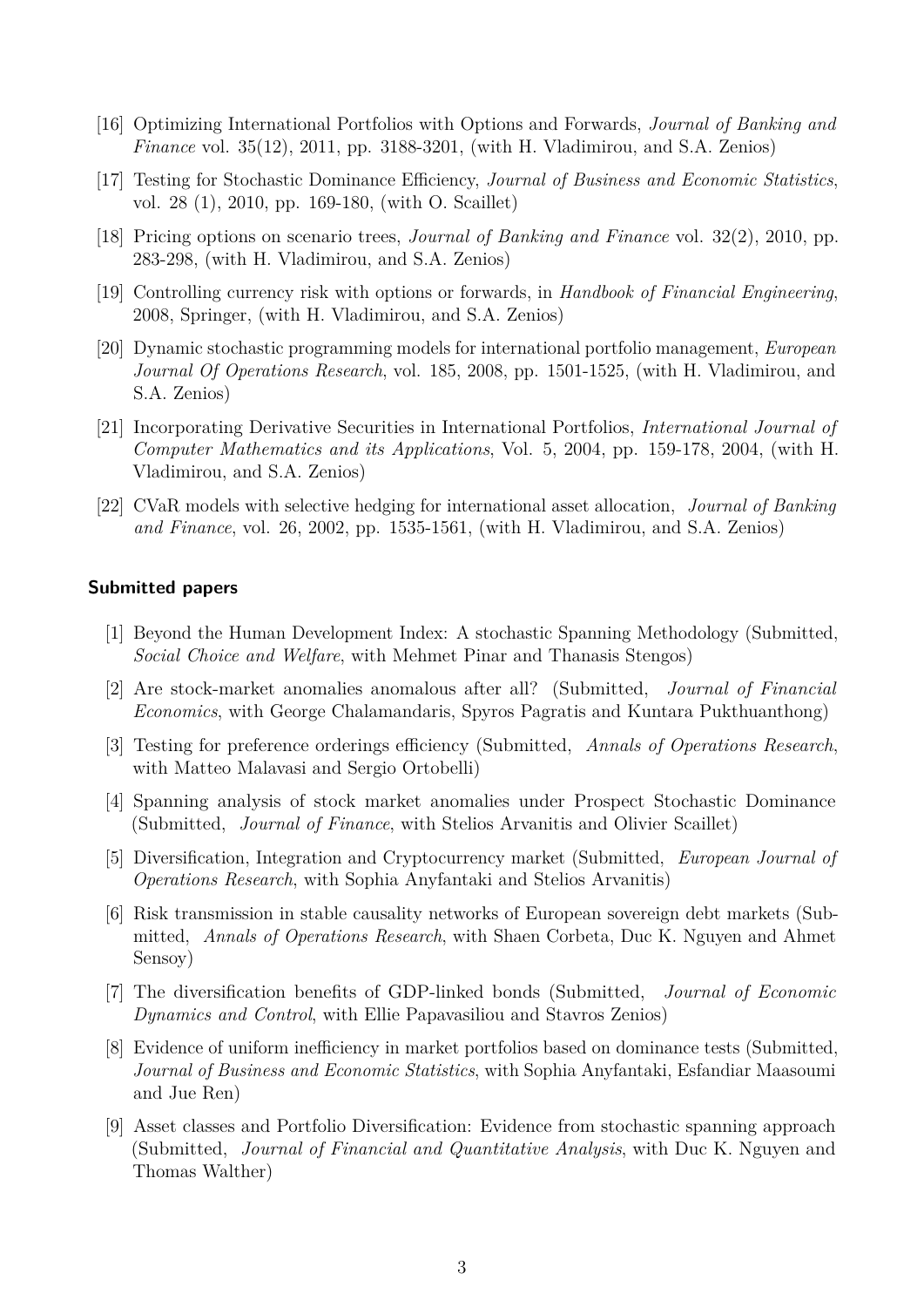- [16] Optimizing International Portfolios with Options and Forwards, *Journal of Banking and Finance* vol. 35(12), 2011, pp. 3188-3201, (with H. Vladimirou, and S.A. Zenios)
- [17] Testing for Stochastic Dominance Efficiency, *Journal of Business and Economic Statistics*, vol. 28 (1), 2010, pp. 169-180, (with O. Scaillet)
- [18] Pricing options on scenario trees, *Journal of Banking and Finance* vol. 32(2), 2010, pp. 283-298, (with H. Vladimirou, and S.A. Zenios)
- [19] Controlling currency risk with options or forwards, in *Handbook of Financial Engineering*, 2008, Springer, (with H. Vladimirou, and S.A. Zenios)
- [20] Dynamic stochastic programming models for international portfolio management, *European Journal Of Operations Research*, vol. 185, 2008, pp. 1501-1525, (with H. Vladimirou, and S.A. Zenios)
- [21] Incorporating Derivative Securities in International Portfolios, *International Journal of Computer Mathematics and its Applications*, Vol. 5, 2004, pp. 159-178, 2004, (with H. Vladimirou, and S.A. Zenios)
- [22] CVaR models with selective hedging for international asset allocation, *Journal of Banking and Finance*, vol. 26, 2002, pp. 1535-1561, (with H. Vladimirou, and S.A. Zenios)

#### **Submitted papers**

- [1] Beyond the Human Development Index: A stochastic Spanning Methodology (Submitted, *Social Choice and Welfare*, with Mehmet Pinar and Thanasis Stengos)
- [2] Are stock-market anomalies anomalous after all? (Submitted, *Journal of Financial Economics*, with George Chalamandaris, Spyros Pagratis and Kuntara Pukthuanthong)
- [3] Testing for preference orderings efficiency (Submitted, *Annals of Operations Research*, with Matteo Malavasi and Sergio Ortobelli)
- [4] Spanning analysis of stock market anomalies under Prospect Stochastic Dominance (Submitted, *Journal of Finance*, with Stelios Arvanitis and Olivier Scaillet)
- [5] Diversification, Integration and Cryptocurrency market (Submitted, *European Journal of Operations Research*, with Sophia Anyfantaki and Stelios Arvanitis)
- [6] Risk transmission in stable causality networks of European sovereign debt markets (Submitted, *Annals of Operations Research*, with Shaen Corbeta, Duc K. Nguyen and Ahmet Sensoy)
- [7] The diversification benefits of GDP-linked bonds (Submitted, *Journal of Economic Dynamics and Control*, with Ellie Papavasiliou and Stavros Zenios)
- [8] Evidence of uniform inefficiency in market portfolios based on dominance tests (Submitted, *Journal of Business and Economic Statistics*, with Sophia Anyfantaki, Esfandiar Maasoumi and Jue Ren)
- [9] Asset classes and Portfolio Diversification: Evidence from stochastic spanning approach (Submitted, *Journal of Financial and Quantitative Analysis*, with Duc K. Nguyen and Thomas Walther)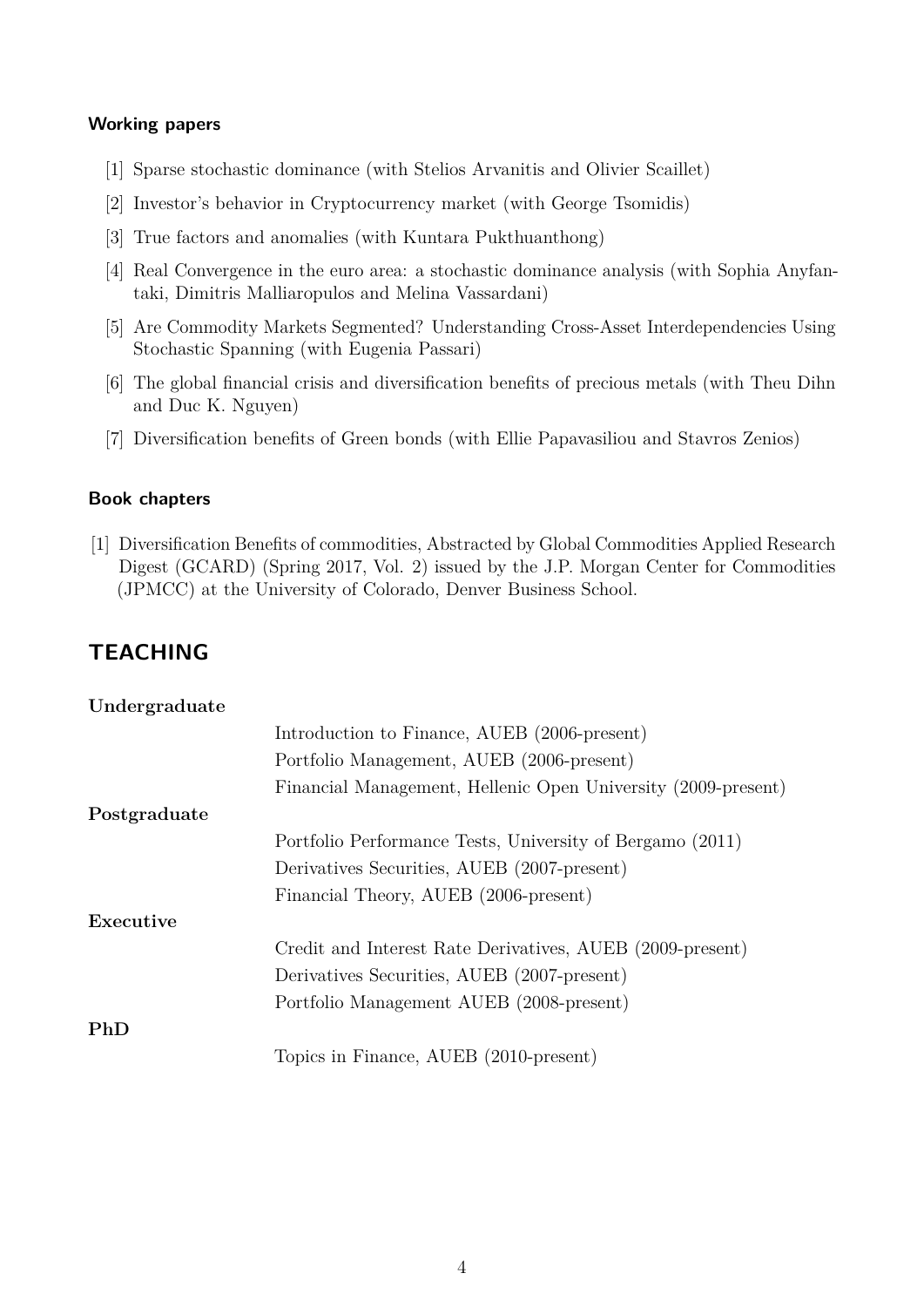#### **Working papers**

- [1] Sparse stochastic dominance (with Stelios Arvanitis and Olivier Scaillet)
- [2] Investor's behavior in Cryptocurrency market (with George Tsomidis)
- [3] True factors and anomalies (with Kuntara Pukthuanthong)
- [4] Real Convergence in the euro area: a stochastic dominance analysis (with Sophia Anyfantaki, Dimitris Malliaropulos and Melina Vassardani)
- [5] Are Commodity Markets Segmented? Understanding Cross-Asset Interdependencies Using Stochastic Spanning (with Eugenia Passari)
- [6] The global financial crisis and diversification benefits of precious metals (with Theu Dihn and Duc K. Nguyen)
- [7] Diversification benefits of Green bonds (with Ellie Papavasiliou and Stavros Zenios)

#### **Book chapters**

[1] Diversification Benefits of commodities, Abstracted by Global Commodities Applied Research Digest (GCARD) (Spring 2017, Vol. 2) issued by the J.P. Morgan Center for Commodities (JPMCC) at the University of Colorado, Denver Business School.

### **TEACHING**

| Undergraduate |                                                               |
|---------------|---------------------------------------------------------------|
|               | Introduction to Finance, AUEB (2006-present)                  |
|               | Portfolio Management, AUEB (2006-present)                     |
|               | Financial Management, Hellenic Open University (2009-present) |
| Postgraduate  |                                                               |
|               | Portfolio Performance Tests, University of Bergamo (2011)     |
|               | Derivatives Securities, AUEB (2007-present)                   |
|               | Financial Theory, AUEB (2006-present)                         |
| Executive     |                                                               |
|               | Credit and Interest Rate Derivatives, AUEB (2009-present)     |
|               | Derivatives Securities, AUEB (2007-present)                   |
|               | Portfolio Management AUEB (2008-present)                      |
| PhD           |                                                               |
|               | Topics in Finance, AUEB (2010-present)                        |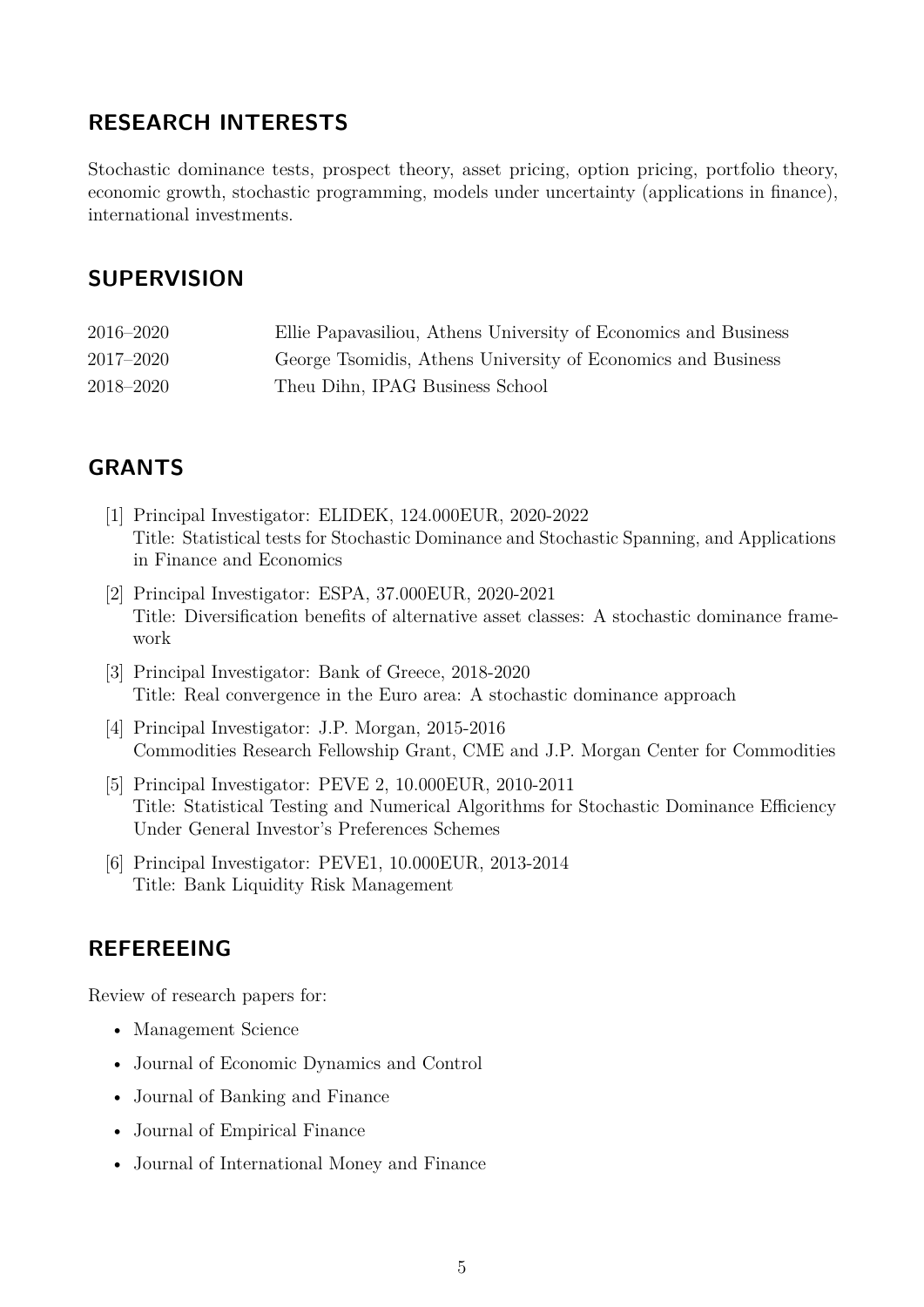## **RESEARCH INTERESTS**

Stochastic dominance tests, prospect theory, asset pricing, option pricing, portfolio theory, economic growth, stochastic programming, models under uncertainty (applications in finance), international investments.

## **SUPERVISION**

| 2016–2020     | Ellie Papavasiliou, Athens University of Economics and Business |
|---------------|-----------------------------------------------------------------|
| $2017 - 2020$ | George Tsomidis, Athens University of Economics and Business    |
| 2018–2020     | Theu Dihn, IPAG Business School                                 |

## **GRANTS**

- [1] Principal Investigator: ELIDEK, 124.000EUR, 2020-2022 Title: Statistical tests for Stochastic Dominance and Stochastic Spanning, and Applications in Finance and Economics
- [2] Principal Investigator: ESPA, 37.000EUR, 2020-2021 Title: Diversification benefits of alternative asset classes: A stochastic dominance framework
- [3] Principal Investigator: Bank of Greece, 2018-2020 Title: Real convergence in the Euro area: A stochastic dominance approach
- [4] Principal Investigator: J.P. Morgan, 2015-2016 Commodities Research Fellowship Grant, CME and J.P. Morgan Center for Commodities
- [5] Principal Investigator: PEVE 2, 10.000EUR, 2010-2011 Title: Statistical Testing and Numerical Algorithms for Stochastic Dominance Efficiency Under General Investor's Preferences Schemes
- [6] Principal Investigator: PEVE1, 10.000EUR, 2013-2014 Title: Bank Liquidity Risk Management

### **REFEREEING**

Review of research papers for:

- Management Science
- Journal of Economic Dynamics and Control
- Journal of Banking and Finance
- Journal of Empirical Finance
- Journal of International Money and Finance